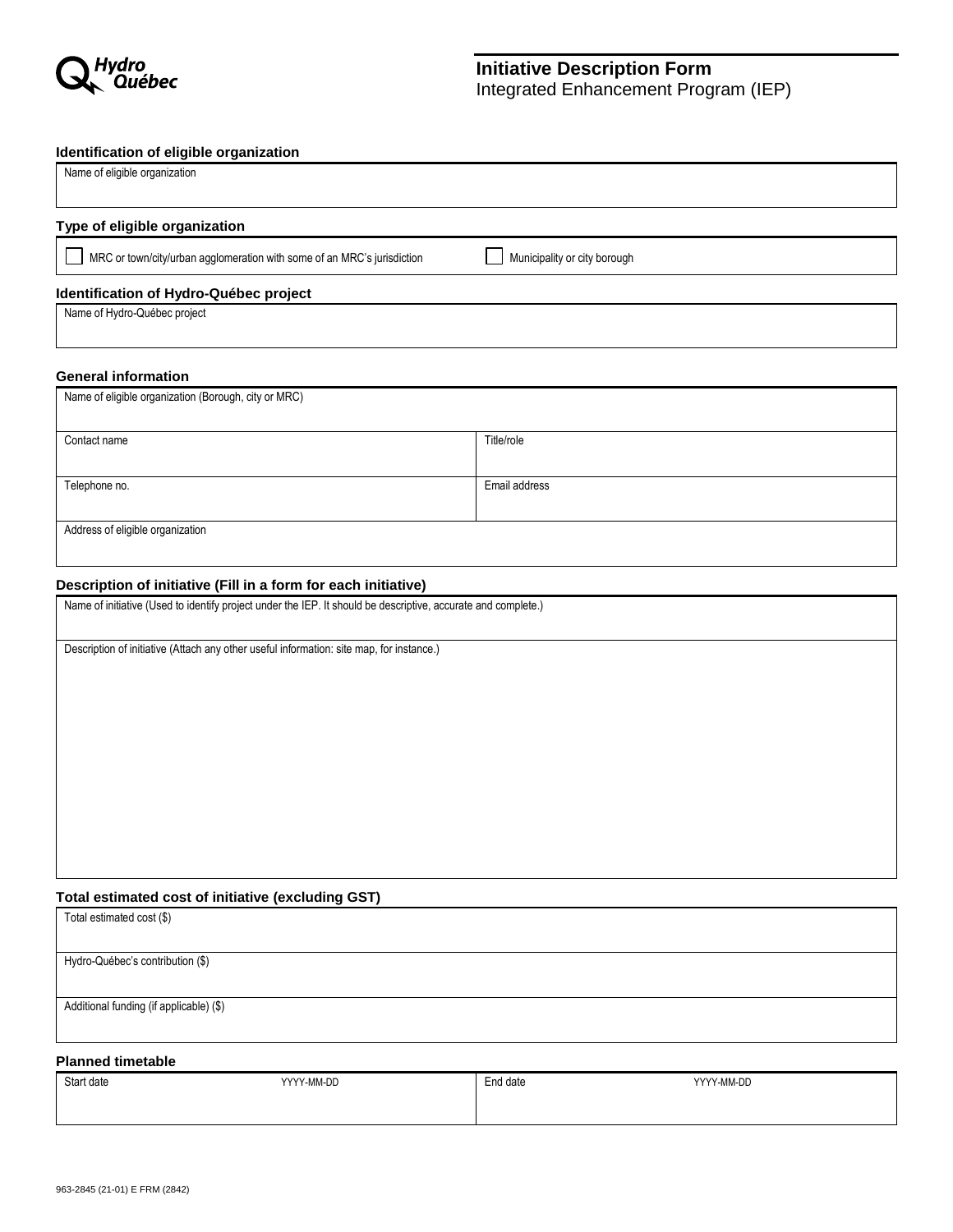

# **Initiative Description Form**

Integrated Enhancement Program (IEP)

### **Identification of eligible organization**

| Name of eligible organization                                           |                              |
|-------------------------------------------------------------------------|------------------------------|
|                                                                         |                              |
| Type of eligible organization                                           |                              |
| MRC or town/city/urban agglomeration with some of an MRC's jurisdiction | Municipality or city borough |
| Identification of Hydro-Québec project                                  |                              |
| Name of Hydro-Québec project                                            |                              |

### **General information**

| Name of eligible organization (Borough, city or MRC) |               |
|------------------------------------------------------|---------------|
| Contact name                                         | Title/role    |
| Telephone no.                                        | Email address |
| Address of eligible organization                     |               |

### **Description of initiative (Fill in a form for each initiative)**

Name of initiative (Used to identify project under the IEP. It should be descriptive, accurate and complete.)

Description of initiative (Attach any other useful information: site map, for instance.)

### **Total estimated cost of initiative (excluding GST)**

| Total estimated cost (\$)               |
|-----------------------------------------|
|                                         |
| Hydro-Québec's contribution (\$)        |
|                                         |
| Additional funding (if applicable) (\$) |
|                                         |

### **Planned timetable**

| Start date | YYYY-MM-DD | <b>End date</b> | YYYY-MM-DD |
|------------|------------|-----------------|------------|
|            |            |                 |            |
|            |            |                 |            |